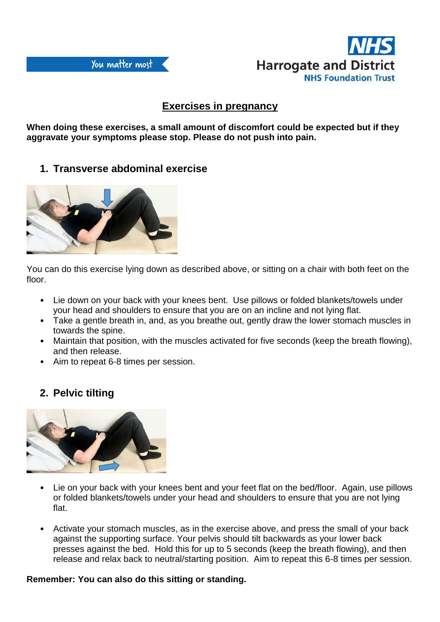

## **Exercises in pregnancy**

**When doing these exercises, a small amount of discomfort could be expected but if they aggravate your symptoms please stop. Please do not push into pain.**

### **1. Transverse abdominal exercise**



You can do this exercise lying down as described above, or sitting on a chair with both feet on the floor.

- Lie down on your back with your knees bent. Use pillows or folded blankets/towels under your head and shoulders to ensure that you are on an incline and not lying flat.
- Take a gentle breath in, and, as you breathe out, gently draw the lower stomach muscles in towards the spine.
- Maintain that position, with the muscles activated for five seconds (keep the breath flowing), and then release.
- Aim to repeat 6-8 times per session.

# **2. Pelvic tilting**



- Lie on your back with your knees bent and your feet flat on the bed/floor. Again, use pillows or folded blankets/towels under your head and shoulders to ensure that you are not lying flat.
- Activate your stomach muscles, as in the exercise above, and press the small of your back against the supporting surface. Your pelvis should tilt backwards as your lower back presses against the bed. Hold this for up to 5 seconds (keep the breath flowing), and then release and relax back to neutral/starting position. Aim to repeat this 6-8 times per session.

#### **Remember: You can also do this sitting or standing.**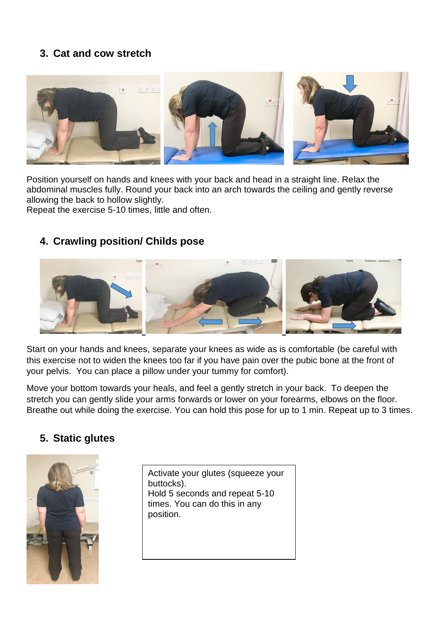# **3. Cat and cow stretch**



Position yourself on hands and knees with your back and head in a straight line. Relax the abdominal muscles fully. Round your back into an arch towards the ceiling and gently reverse allowing the back to hollow slightly.

Repeat the exercise 5-10 times, little and often.

## **4. Crawling position/ Childs pose**



Start on your hands and knees, separate your knees as wide as is comfortable (be careful with this exercise not to widen the knees too far if you have pain over the pubic bone at the front of your pelvis. You can place a pillow under your tummy for comfort).

Move your bottom towards your heals, and feel a gently stretch in your back. To deepen the stretch you can gently slide your arms forwards or lower on your forearms, elbows on the floor. Breathe out while doing the exercise. You can hold this pose for up to 1 min. Repeat up to 3 times.

#### **5. Static glutes**



Activate your glutes (squeeze your buttocks). Hold 5 seconds and repeat 5-10 times. You can do this in any position.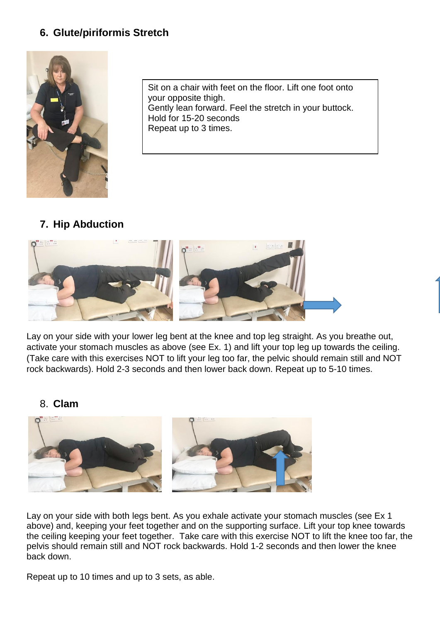# **6. Glute/piriformis Stretch**



Sit on a chair with feet on the floor. Lift one foot onto your opposite thigh. Gently lean forward. Feel the stretch in your buttock. Hold for 15-20 seconds Repeat up to 3 times.

## **7. Hip Abduction**



Lay on your side with your lower leg bent at the knee and top leg straight. As you breathe out, activate your stomach muscles as above (see Ex. 1) and lift your top leg up towards the ceiling. (Take care with this exercises NOT to lift your leg too far, the pelvic should remain still and NOT rock backwards). Hold 2-3 seconds and then lower back down. Repeat up to 5-10 times.

#### 8. **Clam**



Lay on your side with both legs bent. As you exhale activate your stomach muscles (see Ex 1 above) and, keeping your feet together and on the supporting surface. Lift your top knee towards the ceiling keeping your feet together. Take care with this exercise NOT to lift the knee too far, the pelvis should remain still and NOT rock backwards. Hold 1-2 seconds and then lower the knee back down.

Repeat up to 10 times and up to 3 sets, as able.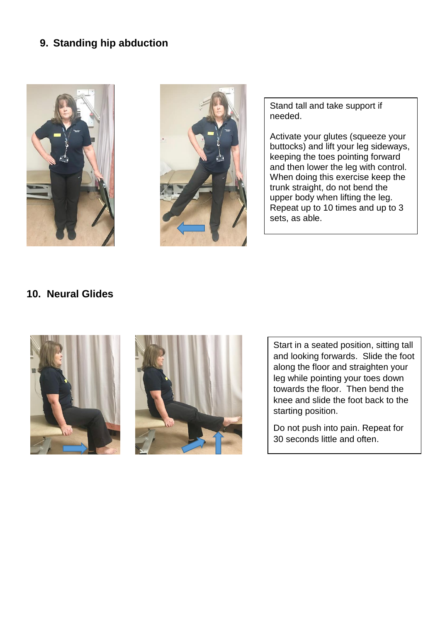## **9. Standing hip abduction**





Stand tall and take support if needed.

Activate your glutes (squeeze your buttocks) and lift your leg sideways, keeping the toes pointing forward and then lower the leg with control. When doing this exercise keep the trunk straight, do not bend the upper body when lifting the leg. Repeat up to 10 times and up to 3 sets, as able.

#### **10. Neural Glides**





Start in a seated position, sitting tall and looking forwards. Slide the foot along the floor and straighten your leg while pointing your toes down towards the floor. Then bend the knee and slide the foot back to the starting position.

Do not push into pain. Repeat for 30 seconds little and often.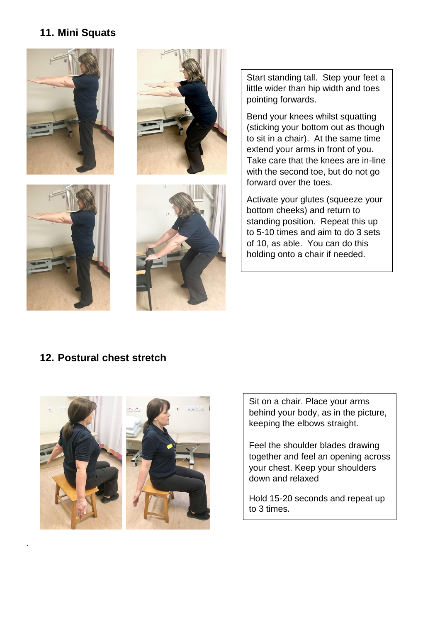# **11. Mini Squats**







.



Start standing tall. Step your feet a little wider than hip width and toes pointing forwards.

Bend your knees whilst squatting (sticking your bottom out as though to sit in a chair). At the same time extend your arms in front of you. Take care that the knees are in-line with the second toe, but do not go forward over the toes.

Activate your glutes (squeeze your bottom cheeks) and return to standing position. Repeat this up to 5-10 times and aim to do 3 sets of 10, as able. You can do this holding onto a chair if needed.

## **12. Postural chest stretch**



Sit on a chair. Place your arms behind your body, as in the picture, keeping the elbows straight.

Feel the shoulder blades drawing together and feel an opening across your chest. Keep your shoulders down and relaxed

Hold 15-20 seconds and repeat up to 3 times.